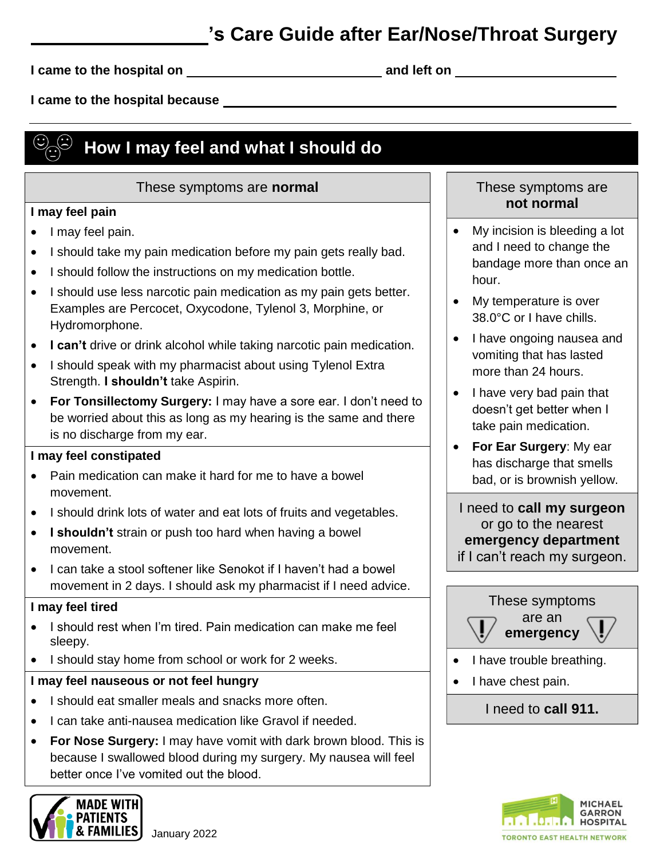## **'s Care Guide after Ear/Nose/Throat Surgery**

**I came to the hospital on and left on** 

**I came to the hospital because** 

# **How I may feel and what I should do**

### These symptoms are **normal**

### **I may feel pain**

- I may feel pain.
- I should take my pain medication before my pain gets really bad.
- I should follow the instructions on my medication bottle.
- I should use less narcotic pain medication as my pain gets better. Examples are Percocet, Oxycodone, Tylenol 3, Morphine, or Hydromorphone.
- **I can't** drive or drink alcohol while taking narcotic pain medication.
- I should speak with my pharmacist about using Tylenol Extra Strength. **I shouldn't** take Aspirin.
- **For Tonsillectomy Surgery:** I may have a sore ear. I don't need to be worried about this as long as my hearing is the same and there is no discharge from my ear.

### **I may feel constipated**

- Pain medication can make it hard for me to have a bowel movement.
- I should drink lots of water and eat lots of fruits and vegetables.
- **I shouldn't** strain or push too hard when having a bowel movement.
- I can take a stool softener like Senokot if I haven't had a bowel movement in 2 days. I should ask my pharmacist if I need advice.

### **I may feel tired**

- I should rest when I'm tired. Pain medication can make me feel sleepy.
- I should stay home from school or work for 2 weeks.

### **I may feel nauseous or not feel hungry**

- I should eat smaller meals and snacks more often.
- I can take anti-nausea medication like Gravol if needed.
- **For Nose Surgery:** I may have vomit with dark brown blood. This is because I swallowed blood during my surgery. My nausea will feel better once I've vomited out the blood.



### These symptoms are **not normal**

- My incision is bleeding a lot and I need to change the bandage more than once an hour.
- My temperature is over 38.0°C or I have chills.
- I have ongoing nausea and vomiting that has lasted more than 24 hours.
- I have very bad pain that doesn't get better when I take pain medication.
- **For Ear Surgery**: My ear has discharge that smells bad, or is brownish yellow.

I need to **call my surgeon** or go to the nearest **emergency department** if I can't reach my surgeon.



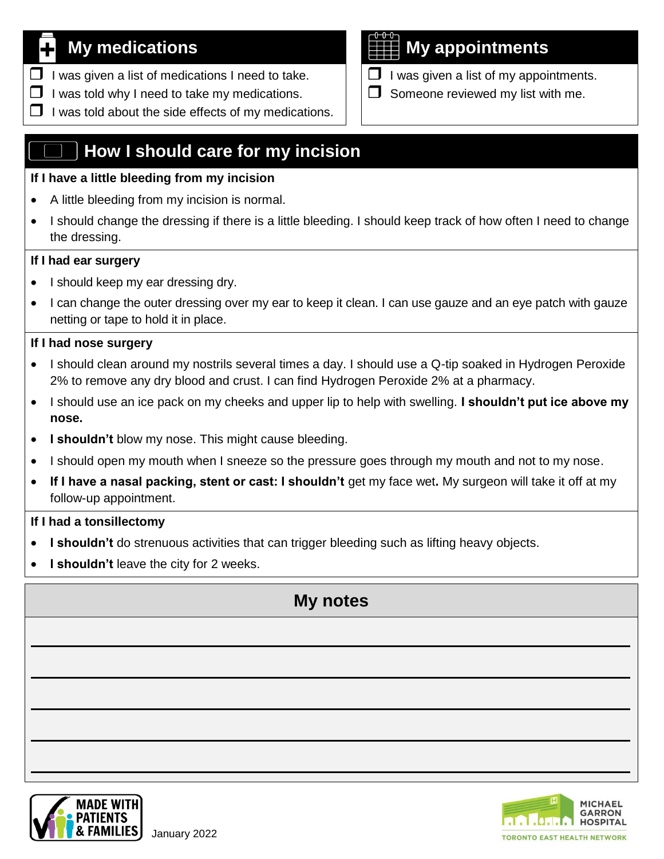- $\Box$  I was given a list of medications I need to take.
- $\Box$  I was told why I need to take my medications.
- $\Box$  I was told about the side effects of my medications.

## **How I should care for my incision**

### **If I have a little bleeding from my incision**

- A little bleeding from my incision is normal.
- I should change the dressing if there is a little bleeding. I should keep track of how often I need to change the dressing.

### **If I had ear surgery**

- I should keep my ear dressing dry.
- I can change the outer dressing over my ear to keep it clean. I can use gauze and an eye patch with gauze netting or tape to hold it in place.

### **If I had nose surgery**

- I should clean around my nostrils several times a day. I should use a Q-tip soaked in Hydrogen Peroxide 2% to remove any dry blood and crust. I can find Hydrogen Peroxide 2% at a pharmacy.
- I should use an ice pack on my cheeks and upper lip to help with swelling. **I shouldn't put ice above my nose.**
- **I shouldn't** blow my nose. This might cause bleeding.
- I should open my mouth when I sneeze so the pressure goes through my mouth and not to my nose.
- **If I have a nasal packing, stent or cast: I shouldn't** get my face wet**.** My surgeon will take it off at my follow-up appointment.

### **If I had a tonsillectomy**

- **I shouldn't** do strenuous activities that can trigger bleeding such as lifting heavy objects.
- **I shouldn't** leave the city for 2 weeks.

## **My notes**





# **My medications My appointments**

- $\Box$  I was given a list of my appointments.
- $\Box$  Someone reviewed my list with me.

January 2022